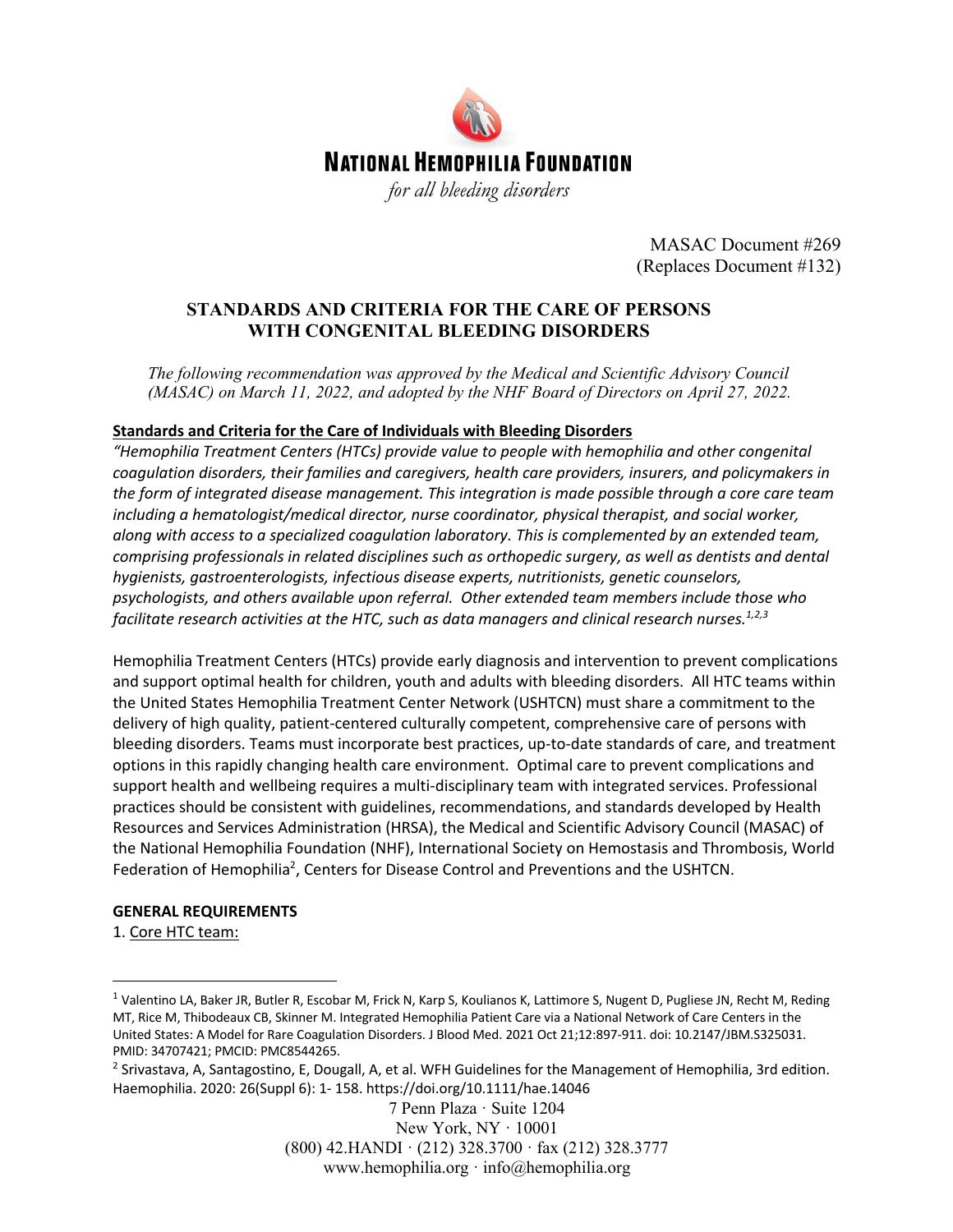

MASAC Document #269 (Replaces Document #132)

### **STANDARDS AND CRITERIA FOR THE CARE OF PERSONS WITH CONGENITAL BLEEDING DISORDERS**

*The following recommendation was approved by the Medical and Scientific Advisory Council (MASAC) on March 11, 2022, and adopted by the NHF Board of Directors on April 27, 2022.*

#### **Standards and Criteria for the Care of Individuals with Bleeding Disorders**

*"Hemophilia Treatment Centers (HTCs) provide value to people with hemophilia and other congenital coagulation disorders, their families and caregivers, health care providers, insurers, and policymakers in the form of integrated disease management. This integration is made possible through a core care team including a hematologist/medical director, nurse coordinator, physical therapist, and social worker, along with access to a specialized coagulation laboratory. This is complemented by an extended team, comprising professionals in related disciplines such as orthopedic surgery, as well as dentists and dental hygienists, gastroenterologists, infectious disease experts, nutritionists, genetic counselors, psychologists, and others available upon referral. Other extended team members include those who facilitate research activities at the HTC, such as data managers and clinical research nurses.1,2,3*

Hemophilia Treatment Centers (HTCs) provide early diagnosis and intervention to prevent complications and support optimal health for children, youth and adults with bleeding disorders. All HTC teams within the United States Hemophilia Treatment Center Network (USHTCN) must share a commitment to the delivery of high quality, patient-centered culturally competent, comprehensive care of persons with bleeding disorders. Teams must incorporate best practices, up-to-date standards of care, and treatment options in this rapidly changing health care environment. Optimal care to prevent complications and support health and wellbeing requires a multi-disciplinary team with integrated services. Professional practices should be consistent with guidelines, recommendations, and standards developed by Health Resources and Services Administration (HRSA), the Medical and Scientific Advisory Council (MASAC) of the National Hemophilia Foundation (NHF), International Society on Hemostasis and Thrombosis, World Federation of Hemophilia<sup>2</sup>, Centers for Disease Control and Preventions and the USHTCN.

#### **GENERAL REQUIREMENTS**

1. Core HTC team:

7 Penn Plaza · Suite 1204 New York, NY · 10001 (800) 42.HANDI · (212) 328.3700 · fax (212) 328.3777 www.hemophilia.org · info@hemophilia.org

<sup>&</sup>lt;sup>1</sup> Valentino LA, Baker JR, Butler R, Escobar M, Frick N, Karp S, Koulianos K, Lattimore S, Nugent D, Pugliese JN, Recht M, Reding MT, Rice M, Thibodeaux CB, Skinner M. Integrated Hemophilia Patient Care via a National Network of Care Centers in the United States: A Model for Rare Coagulation Disorders. J Blood Med. 2021 Oct 21;12:897-911. doi: 10.2147/JBM.S325031. PMID: 34707421; PMCID: PMC8544265.

<sup>&</sup>lt;sup>2</sup> Srivastava, A, Santagostino, E, Dougall, A, et al. WFH Guidelines for the Management of Hemophilia, 3rd edition. Haemophilia. 2020: 26(Suppl 6): 1- 158. https://doi.org/10.1111/hae.14046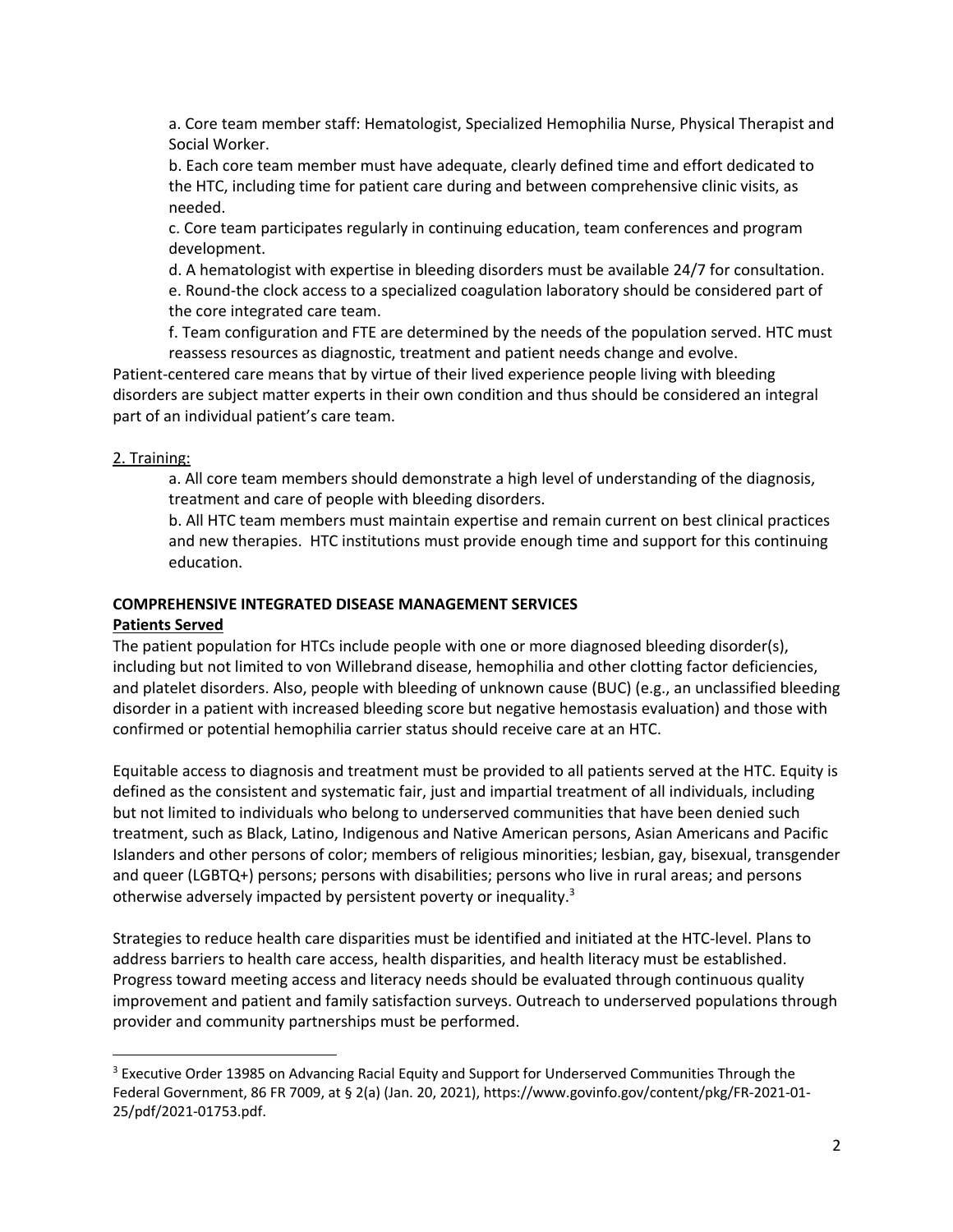a. Core team member staff: Hematologist, Specialized Hemophilia Nurse, Physical Therapist and Social Worker.

b. Each core team member must have adequate, clearly defined time and effort dedicated to the HTC, including time for patient care during and between comprehensive clinic visits, as needed.

c. Core team participates regularly in continuing education, team conferences and program development.

d. A hematologist with expertise in bleeding disorders must be available 24/7 for consultation. e. Round-the clock access to a specialized coagulation laboratory should be considered part of the core integrated care team.

f. Team configuration and FTE are determined by the needs of the population served. HTC must reassess resources as diagnostic, treatment and patient needs change and evolve.

Patient-centered care means that by virtue of their lived experience people living with bleeding disorders are subject matter experts in their own condition and thus should be considered an integral part of an individual patient's care team.

#### 2. Training:

a. All core team members should demonstrate a high level of understanding of the diagnosis, treatment and care of people with bleeding disorders.

b. All HTC team members must maintain expertise and remain current on best clinical practices and new therapies. HTC institutions must provide enough time and support for this continuing education.

# **COMPREHENSIVE INTEGRATED DISEASE MANAGEMENT SERVICES**

## **Patients Served**

The patient population for HTCs include people with one or more diagnosed bleeding disorder(s), including but not limited to von Willebrand disease, hemophilia and other clotting factor deficiencies, and platelet disorders. Also, people with bleeding of unknown cause (BUC) (e.g., an unclassified bleeding disorder in a patient with increased bleeding score but negative hemostasis evaluation) and those with confirmed or potential hemophilia carrier status should receive care at an HTC.

Equitable access to diagnosis and treatment must be provided to all patients served at the HTC. Equity is defined as the consistent and systematic fair, just and impartial treatment of all individuals, including but not limited to individuals who belong to underserved communities that have been denied such treatment, such as Black, Latino, Indigenous and Native American persons, Asian Americans and Pacific Islanders and other persons of color; members of religious minorities; lesbian, gay, bisexual, transgender and queer (LGBTQ+) persons; persons with disabilities; persons who live in rural areas; and persons otherwise adversely impacted by persistent poverty or inequality.<sup>3</sup>

Strategies to reduce health care disparities must be identified and initiated at the HTC-level. Plans to address barriers to health care access, health disparities, and health literacy must be established. Progress toward meeting access and literacy needs should be evaluated through continuous quality improvement and patient and family satisfaction surveys. Outreach to underserved populations through provider and community partnerships must be performed.

<sup>&</sup>lt;sup>3</sup> Executive Order 13985 on Advancing Racial Equity and Support for Underserved Communities Through the Federal Government, 86 FR 7009, at § 2(a) (Jan. 20, 2021), https://www.govinfo.gov/content/pkg/FR-2021-01- 25/pdf/2021-01753.pdf.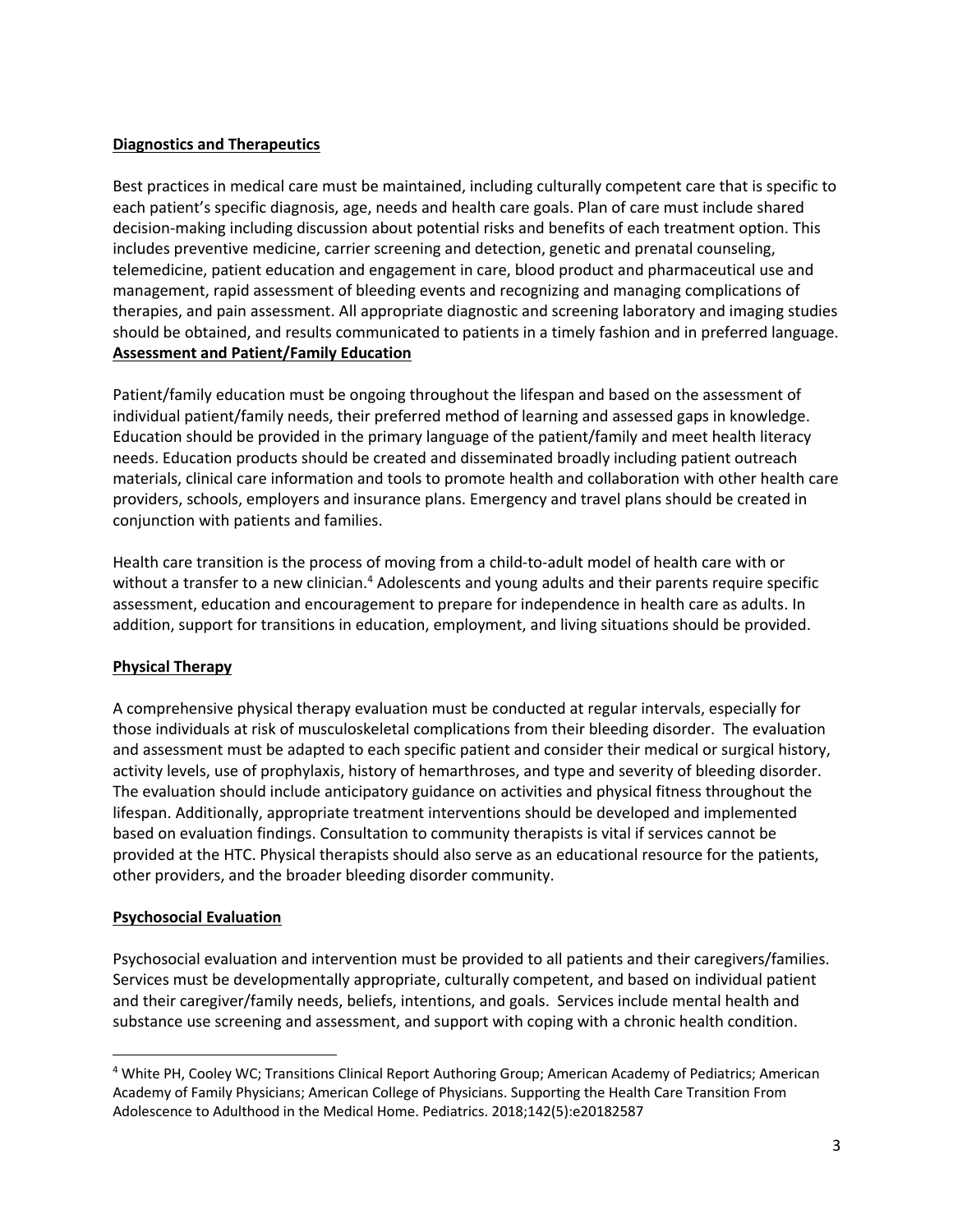#### **Diagnostics and Therapeutics**

Best practices in medical care must be maintained, including culturally competent care that is specific to each patient's specific diagnosis, age, needs and health care goals. Plan of care must include shared decision-making including discussion about potential risks and benefits of each treatment option. This includes preventive medicine, carrier screening and detection, genetic and prenatal counseling, telemedicine, patient education and engagement in care, blood product and pharmaceutical use and management, rapid assessment of bleeding events and recognizing and managing complications of therapies, and pain assessment. All appropriate diagnostic and screening laboratory and imaging studies should be obtained, and results communicated to patients in a timely fashion and in preferred language. **Assessment and Patient/Family Education**

Patient/family education must be ongoing throughout the lifespan and based on the assessment of individual patient/family needs, their preferred method of learning and assessed gaps in knowledge. Education should be provided in the primary language of the patient/family and meet health literacy needs. Education products should be created and disseminated broadly including patient outreach materials, clinical care information and tools to promote health and collaboration with other health care providers, schools, employers and insurance plans. Emergency and travel plans should be created in conjunction with patients and families.

Health care transition is the process of moving from a child-to-adult model of health care with or without a transfer to a new clinician.<sup>4</sup> Adolescents and young adults and their parents require specific assessment, education and encouragement to prepare for independence in health care as adults. In addition, support for transitions in education, employment, and living situations should be provided.

#### **Physical Therapy**

A comprehensive physical therapy evaluation must be conducted at regular intervals, especially for those individuals at risk of musculoskeletal complications from their bleeding disorder. The evaluation and assessment must be adapted to each specific patient and consider their medical or surgical history, activity levels, use of prophylaxis, history of hemarthroses, and type and severity of bleeding disorder. The evaluation should include anticipatory guidance on activities and physical fitness throughout the lifespan. Additionally, appropriate treatment interventions should be developed and implemented based on evaluation findings. Consultation to community therapists is vital if services cannot be provided at the HTC. Physical therapists should also serve as an educational resource for the patients, other providers, and the broader bleeding disorder community.

#### **Psychosocial Evaluation**

Psychosocial evaluation and intervention must be provided to all patients and their caregivers/families. Services must be developmentally appropriate, culturally competent, and based on individual patient and their caregiver/family needs, beliefs, intentions, and goals. Services include mental health and substance use screening and assessment, and support with coping with a chronic health condition.

<sup>4</sup> White PH, Cooley WC; Transitions Clinical Report Authoring Group; American Academy of Pediatrics; American Academy of Family Physicians; American College of Physicians. Supporting the Health Care Transition From Adolescence to Adulthood in the Medical Home. Pediatrics. 2018;142(5):e20182587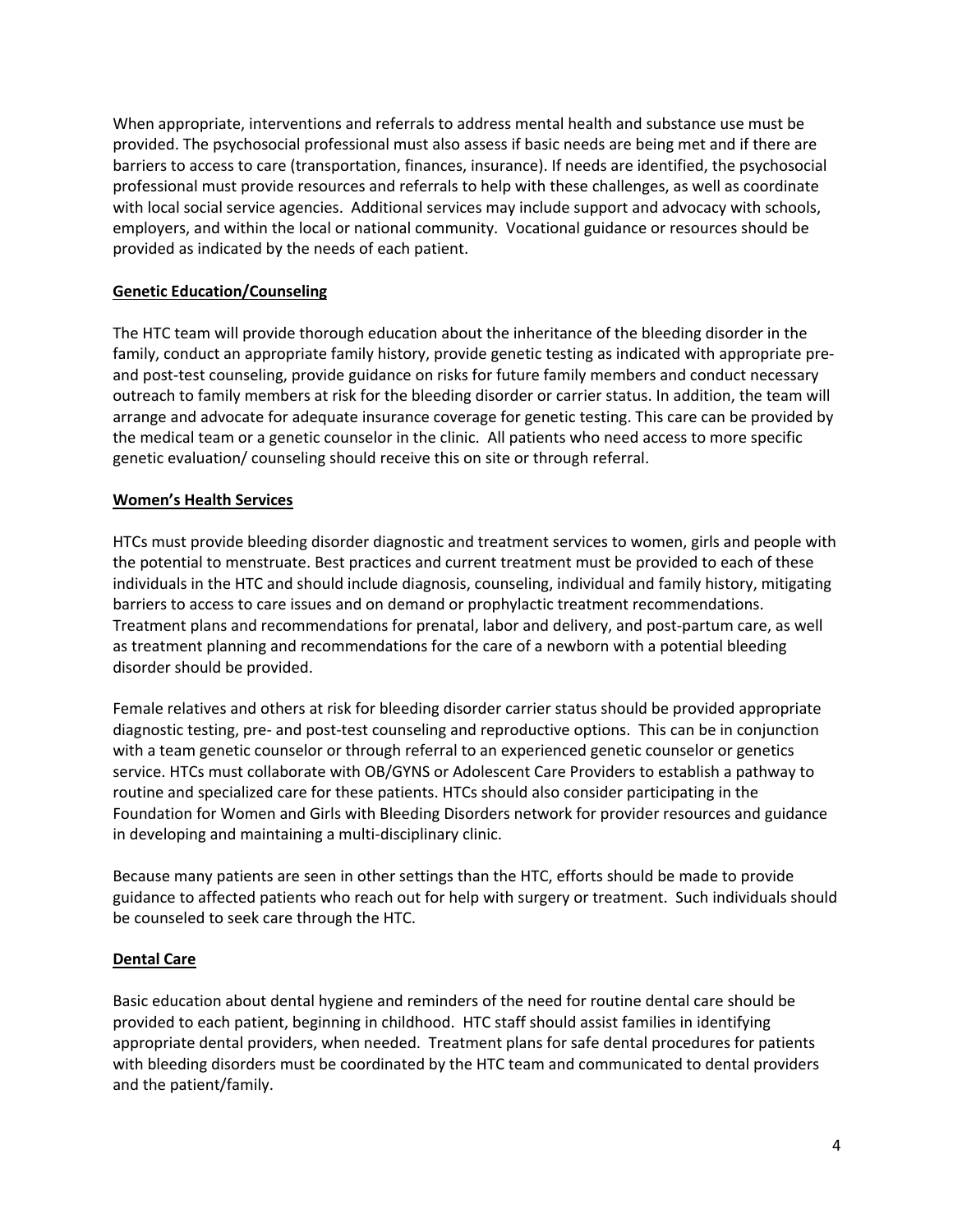When appropriate, interventions and referrals to address mental health and substance use must be provided. The psychosocial professional must also assess if basic needs are being met and if there are barriers to access to care (transportation, finances, insurance). If needs are identified, the psychosocial professional must provide resources and referrals to help with these challenges, as well as coordinate with local social service agencies. Additional services may include support and advocacy with schools, employers, and within the local or national community. Vocational guidance or resources should be provided as indicated by the needs of each patient.

#### **Genetic Education/Counseling**

The HTC team will provide thorough education about the inheritance of the bleeding disorder in the family, conduct an appropriate family history, provide genetic testing as indicated with appropriate preand post-test counseling, provide guidance on risks for future family members and conduct necessary outreach to family members at risk for the bleeding disorder or carrier status. In addition, the team will arrange and advocate for adequate insurance coverage for genetic testing. This care can be provided by the medical team or a genetic counselor in the clinic. All patients who need access to more specific genetic evaluation/ counseling should receive this on site or through referral.

#### **Women's Health Services**

HTCs must provide bleeding disorder diagnostic and treatment services to women, girls and people with the potential to menstruate. Best practices and current treatment must be provided to each of these individuals in the HTC and should include diagnosis, counseling, individual and family history, mitigating barriers to access to care issues and on demand or prophylactic treatment recommendations. Treatment plans and recommendations for prenatal, labor and delivery, and post-partum care, as well as treatment planning and recommendations for the care of a newborn with a potential bleeding disorder should be provided.

Female relatives and others at risk for bleeding disorder carrier status should be provided appropriate diagnostic testing, pre- and post-test counseling and reproductive options. This can be in conjunction with a team genetic counselor or through referral to an experienced genetic counselor or genetics service. HTCs must collaborate with OB/GYNS or Adolescent Care Providers to establish a pathway to routine and specialized care for these patients. HTCs should also consider participating in the Foundation for Women and Girls with Bleeding Disorders network for provider resources and guidance in developing and maintaining a multi-disciplinary clinic.

Because many patients are seen in other settings than the HTC, efforts should be made to provide guidance to affected patients who reach out for help with surgery or treatment. Such individuals should be counseled to seek care through the HTC.

#### **Dental Care**

Basic education about dental hygiene and reminders of the need for routine dental care should be provided to each patient, beginning in childhood. HTC staff should assist families in identifying appropriate dental providers, when needed. Treatment plans for safe dental procedures for patients with bleeding disorders must be coordinated by the HTC team and communicated to dental providers and the patient/family.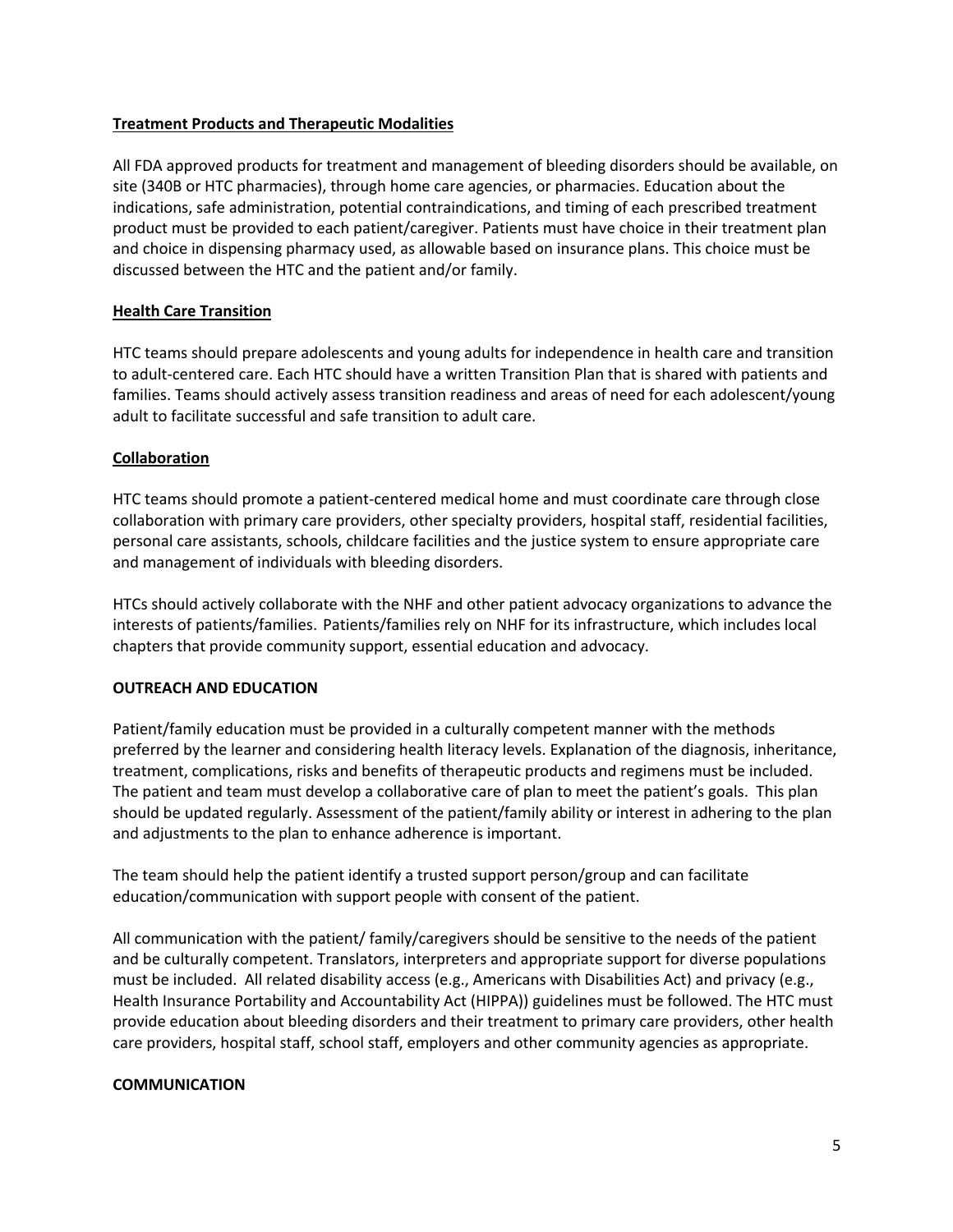#### **Treatment Products and Therapeutic Modalities**

All FDA approved products for treatment and management of bleeding disorders should be available, on site (340B or HTC pharmacies), through home care agencies, or pharmacies. Education about the indications, safe administration, potential contraindications, and timing of each prescribed treatment product must be provided to each patient/caregiver. Patients must have choice in their treatment plan and choice in dispensing pharmacy used, as allowable based on insurance plans. This choice must be discussed between the HTC and the patient and/or family.

#### **Health Care Transition**

HTC teams should prepare adolescents and young adults for independence in health care and transition to adult-centered care. Each HTC should have a written Transition Plan that is shared with patients and families. Teams should actively assess transition readiness and areas of need for each adolescent/young adult to facilitate successful and safe transition to adult care.

#### **Collaboration**

HTC teams should promote a patient-centered medical home and must coordinate care through close collaboration with primary care providers, other specialty providers, hospital staff, residential facilities, personal care assistants, schools, childcare facilities and the justice system to ensure appropriate care and management of individuals with bleeding disorders.

HTCs should actively collaborate with the NHF and other patient advocacy organizations to advance the interests of patients/families. Patients/families rely on NHF for its infrastructure, which includes local chapters that provide community support, essential education and advocacy.

#### **OUTREACH AND EDUCATION**

Patient/family education must be provided in a culturally competent manner with the methods preferred by the learner and considering health literacy levels. Explanation of the diagnosis, inheritance, treatment, complications, risks and benefits of therapeutic products and regimens must be included. The patient and team must develop a collaborative care of plan to meet the patient's goals. This plan should be updated regularly. Assessment of the patient/family ability or interest in adhering to the plan and adjustments to the plan to enhance adherence is important.

The team should help the patient identify a trusted support person/group and can facilitate education/communication with support people with consent of the patient.

All communication with the patient/ family/caregivers should be sensitive to the needs of the patient and be culturally competent. Translators, interpreters and appropriate support for diverse populations must be included. All related disability access (e.g., Americans with Disabilities Act) and privacy (e.g., Health Insurance Portability and Accountability Act (HIPPA)) guidelines must be followed. The HTC must provide education about bleeding disorders and their treatment to primary care providers, other health care providers, hospital staff, school staff, employers and other community agencies as appropriate.

#### **COMMUNICATION**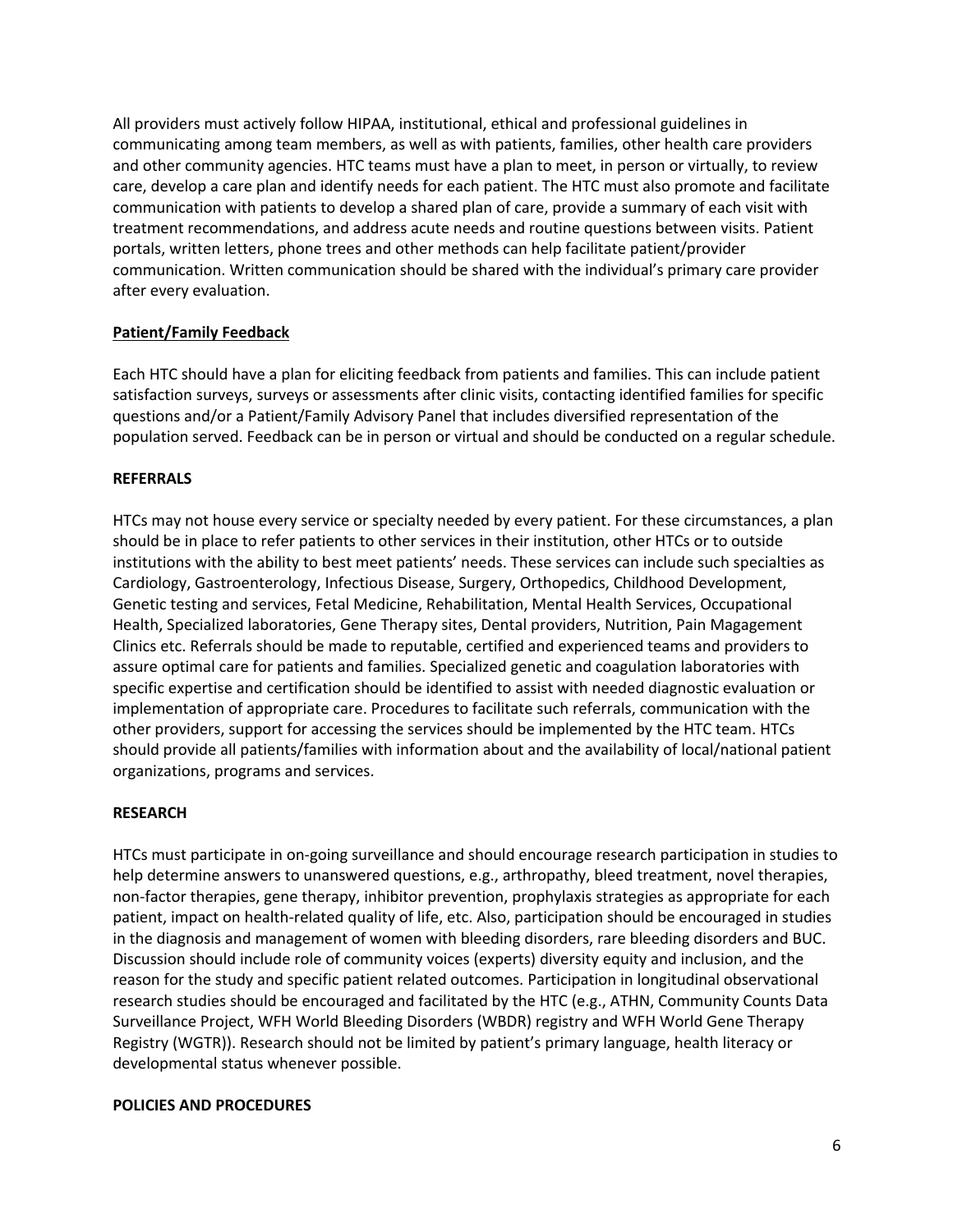All providers must actively follow HIPAA, institutional, ethical and professional guidelines in communicating among team members, as well as with patients, families, other health care providers and other community agencies. HTC teams must have a plan to meet, in person or virtually, to review care, develop a care plan and identify needs for each patient. The HTC must also promote and facilitate communication with patients to develop a shared plan of care, provide a summary of each visit with treatment recommendations, and address acute needs and routine questions between visits. Patient portals, written letters, phone trees and other methods can help facilitate patient/provider communication. Written communication should be shared with the individual's primary care provider after every evaluation.

#### **Patient/Family Feedback**

Each HTC should have a plan for eliciting feedback from patients and families. This can include patient satisfaction surveys, surveys or assessments after clinic visits, contacting identified families for specific questions and/or a Patient/Family Advisory Panel that includes diversified representation of the population served. Feedback can be in person or virtual and should be conducted on a regular schedule.

#### **REFERRALS**

HTCs may not house every service or specialty needed by every patient. For these circumstances, a plan should be in place to refer patients to other services in their institution, other HTCs or to outside institutions with the ability to best meet patients' needs. These services can include such specialties as Cardiology, Gastroenterology, Infectious Disease, Surgery, Orthopedics, Childhood Development, Genetic testing and services, Fetal Medicine, Rehabilitation, Mental Health Services, Occupational Health, Specialized laboratories, Gene Therapy sites, Dental providers, Nutrition, Pain Magagement Clinics etc. Referrals should be made to reputable, certified and experienced teams and providers to assure optimal care for patients and families. Specialized genetic and coagulation laboratories with specific expertise and certification should be identified to assist with needed diagnostic evaluation or implementation of appropriate care. Procedures to facilitate such referrals, communication with the other providers, support for accessing the services should be implemented by the HTC team. HTCs should provide all patients/families with information about and the availability of local/national patient organizations, programs and services.

#### **RESEARCH**

HTCs must participate in on-going surveillance and should encourage research participation in studies to help determine answers to unanswered questions, e.g., arthropathy, bleed treatment, novel therapies, non-factor therapies, gene therapy, inhibitor prevention, prophylaxis strategies as appropriate for each patient, impact on health-related quality of life, etc. Also, participation should be encouraged in studies in the diagnosis and management of women with bleeding disorders, rare bleeding disorders and BUC. Discussion should include role of community voices (experts) diversity equity and inclusion, and the reason for the study and specific patient related outcomes. Participation in longitudinal observational research studies should be encouraged and facilitated by the HTC (e.g., ATHN, Community Counts Data Surveillance Project, WFH World Bleeding Disorders (WBDR) registry and WFH World Gene Therapy Registry (WGTR)). Research should not be limited by patient's primary language, health literacy or developmental status whenever possible.

#### **POLICIES AND PROCEDURES**